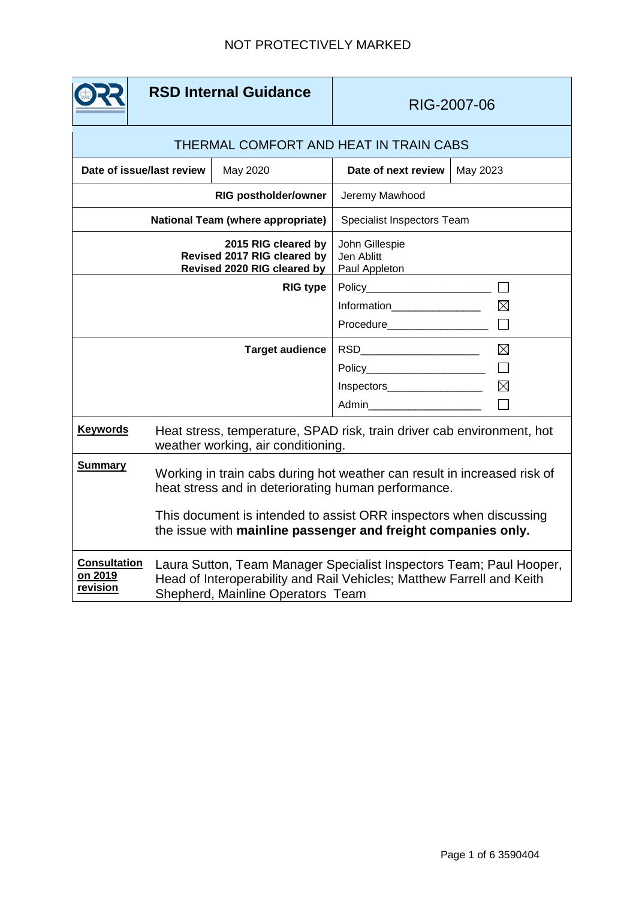|                                                                                   | <b>RSD Internal Guidance</b>                                                                                                                                                      |                     | RIG-2007-06                                                                                                      |                                      |
|-----------------------------------------------------------------------------------|-----------------------------------------------------------------------------------------------------------------------------------------------------------------------------------|---------------------|------------------------------------------------------------------------------------------------------------------|--------------------------------------|
| THERMAL COMFORT AND HEAT IN TRAIN CABS                                            |                                                                                                                                                                                   |                     |                                                                                                                  |                                      |
| Date of issue/last review<br>May 2020                                             |                                                                                                                                                                                   | Date of next review | May 2023                                                                                                         |                                      |
| <b>RIG postholder/owner</b>                                                       |                                                                                                                                                                                   |                     | Jeremy Mawhood                                                                                                   |                                      |
| National Team (where appropriate)                                                 |                                                                                                                                                                                   |                     | Specialist Inspectors Team                                                                                       |                                      |
| 2015 RIG cleared by<br>Revised 2017 RIG cleared by<br>Revised 2020 RIG cleared by |                                                                                                                                                                                   |                     | John Gillespie<br>Jen Ablitt<br>Paul Appleton                                                                    |                                      |
| <b>RIG type</b>                                                                   |                                                                                                                                                                                   |                     | Policy_________________________<br>$\boxtimes$<br>Information___________________<br>Procedure___________________ |                                      |
| <b>Target audience</b>                                                            |                                                                                                                                                                                   |                     | Policy________________________<br>Inspectors____________________                                                 | $\boxtimes$<br>$\Box$<br>$\boxtimes$ |
| <b>Keywords</b>                                                                   | Heat stress, temperature, SPAD risk, train driver cab environment, hot<br>weather working, air conditioning.                                                                      |                     |                                                                                                                  |                                      |
| <b>Summary</b>                                                                    | Working in train cabs during hot weather can result in increased risk of<br>heat stress and in deteriorating human performance.                                                   |                     |                                                                                                                  |                                      |
|                                                                                   | This document is intended to assist ORR inspectors when discussing<br>the issue with mainline passenger and freight companies only.                                               |                     |                                                                                                                  |                                      |
| <b>Consultation</b><br>on 2019<br>revision                                        | Laura Sutton, Team Manager Specialist Inspectors Team; Paul Hooper,<br>Head of Interoperability and Rail Vehicles; Matthew Farrell and Keith<br>Shepherd, Mainline Operators Team |                     |                                                                                                                  |                                      |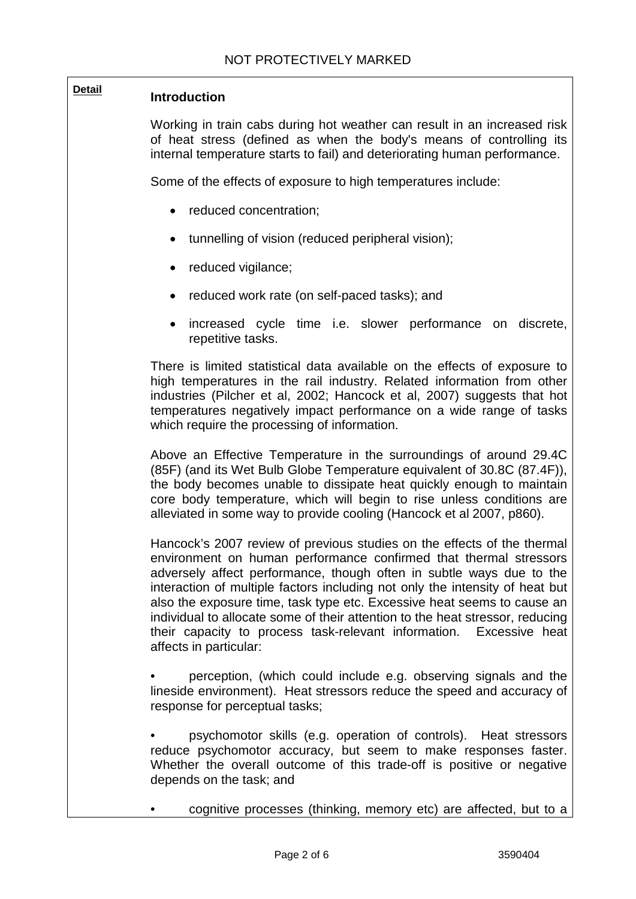# **Detail Introduction**

Working in train cabs during hot weather can result in an increased risk of heat stress (defined as when the body's means of controlling its internal temperature starts to fail) and deteriorating human performance.

Some of the effects of exposure to high temperatures include:

- reduced concentration:
- tunnelling of vision (reduced peripheral vision);
- reduced vigilance;
- reduced work rate (on self-paced tasks); and
- increased cycle time i.e. slower performance on discrete, repetitive tasks.

There is limited statistical data available on the effects of exposure to high temperatures in the rail industry. Related information from other industries (Pilcher et al, 2002; Hancock et al, 2007) suggests that hot temperatures negatively impact performance on a wide range of tasks which require the processing of information.

Above an Effective Temperature in the surroundings of around 29.4C (85F) (and its Wet Bulb Globe Temperature equivalent of 30.8C (87.4F)), the body becomes unable to dissipate heat quickly enough to maintain core body temperature, which will begin to rise unless conditions are alleviated in some way to provide cooling (Hancock et al 2007, p860).

Hancock's 2007 review of previous studies on the effects of the thermal environment on human performance confirmed that thermal stressors adversely affect performance, though often in subtle ways due to the interaction of multiple factors including not only the intensity of heat but also the exposure time, task type etc. Excessive heat seems to cause an individual to allocate some of their attention to the heat stressor, reducing their capacity to process task-relevant information. Excessive heat affects in particular:

• perception, (which could include e.g. observing signals and the lineside environment). Heat stressors reduce the speed and accuracy of response for perceptual tasks;

• psychomotor skills (e.g. operation of controls). Heat stressors reduce psychomotor accuracy, but seem to make responses faster. Whether the overall outcome of this trade-off is positive or negative depends on the task; and

• cognitive processes (thinking, memory etc) are affected, but to a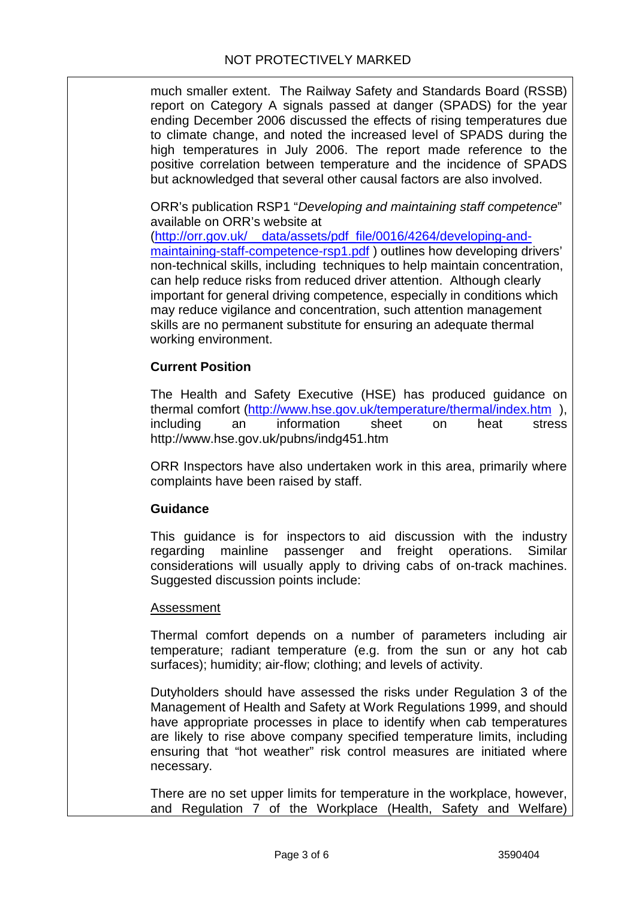much smaller extent. The Railway Safety and Standards Board (RSSB) report on Category A signals passed at danger (SPADS) for the year ending December 2006 discussed the effects of rising temperatures due to climate change, and noted the increased level of SPADS during the high temperatures in July 2006. The report made reference to the positive correlation between temperature and the incidence of SPADS but acknowledged that several other causal factors are also involved.

ORR's publication RSP1 "*Developing and maintaining staff competence*" available on ORR's website at

[\(http://orr.gov.uk/\\_\\_data/assets/pdf\\_file/0016/4264/developing-and](http://orr.gov.uk/__data/assets/pdf_file/0016/4264/developing-and-maintaining-staff-competence-rsp1.pdf)[maintaining-staff-competence-rsp1.pdf](http://orr.gov.uk/__data/assets/pdf_file/0016/4264/developing-and-maintaining-staff-competence-rsp1.pdf) ) outlines how developing drivers' non-technical skills, including techniques to help maintain concentration, can help reduce risks from reduced driver attention. Although clearly important for general driving competence, especially in conditions which may reduce vigilance and concentration, such attention management skills are no permanent substitute for ensuring an adequate thermal working environment.

## **Current Position**

The Health and Safety Executive (HSE) has produced guidance on thermal comfort [\(http://www.hse.gov.uk/temperature/thermal/index.htm](http://www.hse.gov.uk/temperature/thermal/index.htm) ), including an information sheet on heat stress http://www.hse.gov.uk/pubns/indg451.htm

ORR Inspectors have also undertaken work in this area, primarily where complaints have been raised by staff.

#### **Guidance**

This guidance is for inspectors to aid discussion with the industry regarding mainline passenger and freight operations. Similar considerations will usually apply to driving cabs of on-track machines. Suggested discussion points include:

#### Assessment

Thermal comfort depends on a number of parameters including air temperature; radiant temperature (e.g. from the sun or any hot cab surfaces); humidity; air-flow; clothing; and levels of activity.

Dutyholders should have assessed the risks under Regulation 3 of the Management of Health and Safety at Work Regulations 1999, and should have appropriate processes in place to identify when cab temperatures are likely to rise above company specified temperature limits, including ensuring that "hot weather" risk control measures are initiated where necessary.

There are no set upper limits for temperature in the workplace, however, and Regulation 7 of the Workplace (Health, Safety and Welfare)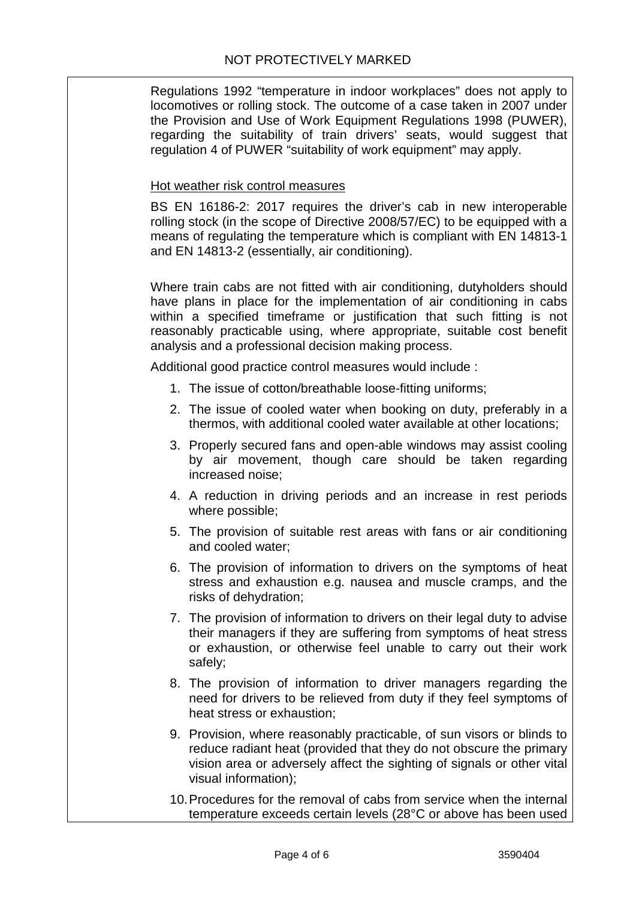Regulations 1992 "temperature in indoor workplaces" does not apply to locomotives or rolling stock. The outcome of a case taken in 2007 under the Provision and Use of Work Equipment Regulations 1998 (PUWER), regarding the suitability of train drivers' seats, would suggest that regulation 4 of PUWER "suitability of work equipment" may apply.

### Hot weather risk control measures

BS EN 16186-2: 2017 requires the driver's cab in new interoperable rolling stock (in the scope of Directive 2008/57/EC) to be equipped with a means of regulating the temperature which is compliant with EN 14813-1 and EN 14813-2 (essentially, air conditioning).

Where train cabs are not fitted with air conditioning, dutyholders should have plans in place for the implementation of air conditioning in cabs within a specified timeframe or justification that such fitting is not reasonably practicable using, where appropriate, suitable cost benefit analysis and a professional decision making process.

Additional good practice control measures would include :

- 1. The issue of cotton/breathable loose-fitting uniforms;
- 2. The issue of cooled water when booking on duty, preferably in a thermos, with additional cooled water available at other locations;
- 3. Properly secured fans and open-able windows may assist cooling by air movement, though care should be taken regarding increased noise;
- 4. A reduction in driving periods and an increase in rest periods where possible;
- 5. The provision of suitable rest areas with fans or air conditioning and cooled water;
- 6. The provision of information to drivers on the symptoms of heat stress and exhaustion e.g. nausea and muscle cramps, and the risks of dehydration;
- 7. The provision of information to drivers on their legal duty to advise their managers if they are suffering from symptoms of heat stress or exhaustion, or otherwise feel unable to carry out their work safely;
- 8. The provision of information to driver managers regarding the need for drivers to be relieved from duty if they feel symptoms of heat stress or exhaustion;
- 9. Provision, where reasonably practicable, of sun visors or blinds to reduce radiant heat (provided that they do not obscure the primary vision area or adversely affect the sighting of signals or other vital visual information);
- 10.Procedures for the removal of cabs from service when the internal temperature exceeds certain levels (28°C or above has been used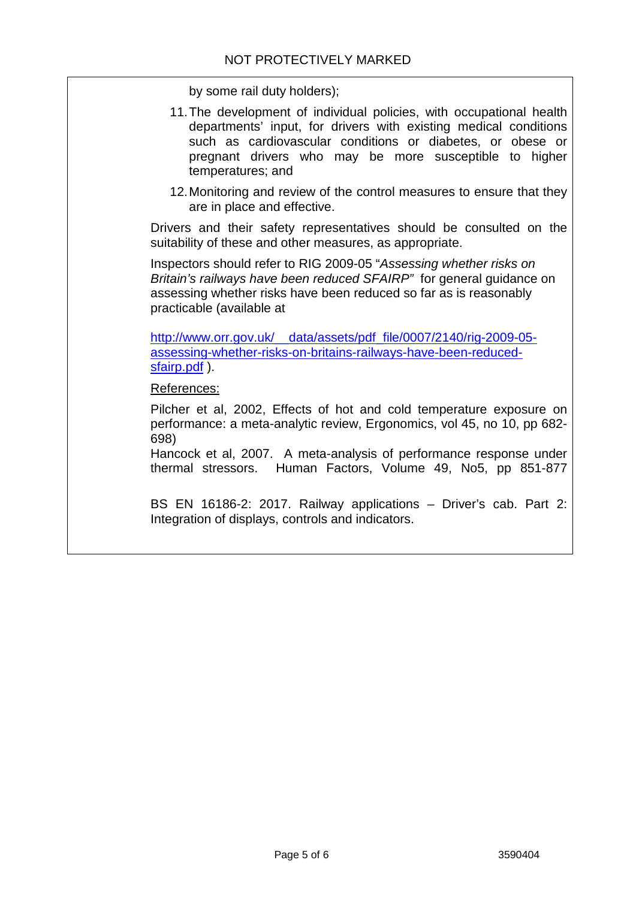by some rail duty holders);

- 11.The development of individual policies, with occupational health departments' input, for drivers with existing medical conditions such as cardiovascular conditions or diabetes, or obese or pregnant drivers who may be more susceptible to higher temperatures; and
- 12.Monitoring and review of the control measures to ensure that they are in place and effective.

Drivers and their safety representatives should be consulted on the suitability of these and other measures, as appropriate.

Inspectors should refer to RIG 2009-05 "*Assessing whether risks on Britain's railways have been reduced SFAIRP"* for general guidance on assessing whether risks have been reduced so far as is reasonably practicable (available at

[http://www.orr.gov.uk/\\_\\_data/assets/pdf\\_file/0007/2140/rig-2009-05](http://www.orr.gov.uk/__data/assets/pdf_file/0007/2140/rig-2009-05-assessing-whether-risks-on-britains-railways-have-been-reduced-sfairp.pdf) [assessing-whether-risks-on-britains-railways-have-been-reduced](http://www.orr.gov.uk/__data/assets/pdf_file/0007/2140/rig-2009-05-assessing-whether-risks-on-britains-railways-have-been-reduced-sfairp.pdf)[sfairp.pdf](http://www.orr.gov.uk/__data/assets/pdf_file/0007/2140/rig-2009-05-assessing-whether-risks-on-britains-railways-have-been-reduced-sfairp.pdf) ).

References:

Pilcher et al, 2002, Effects of hot and cold temperature exposure on performance: a meta-analytic review, Ergonomics, vol 45, no 10, pp 682- 698)

Hancock et al, 2007. A meta-analysis of performance response under thermal stressors. Human Factors, Volume 49, No5, pp 851-877

BS EN 16186-2: 2017. Railway applications – Driver's cab. Part 2: Integration of displays, controls and indicators.